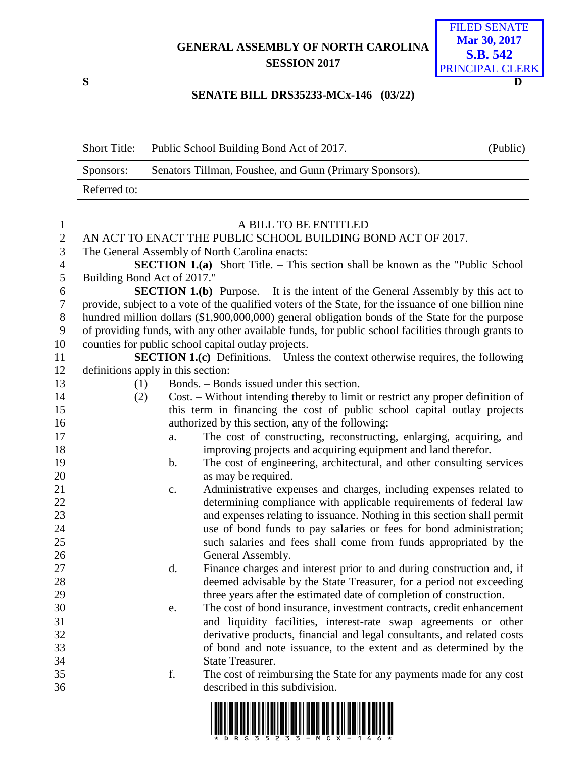# **GENERAL ASSEMBLY OF NORTH CAROLINA SESSION 2017**



#### **SENATE BILL DRS35233-MCx-146 (03/22)**

| <b>Short Title:</b> | Public School Building Bond Act of 2017.                | (Public) |
|---------------------|---------------------------------------------------------|----------|
| Sponsors:           | Senators Tillman, Foushee, and Gunn (Primary Sponsors). |          |
| Referred to:        |                                                         |          |

## A BILL TO BE ENTITLED 2 AN ACT TO ENACT THE PUBLIC SCHOOL BUILDING BOND ACT OF 2017. The General Assembly of North Carolina enacts: **SECTION 1.(a)** Short Title. – This section shall be known as the "Public School Building Bond Act of 2017." **SECTION 1.(b)** Purpose. – It is the intent of the General Assembly by this act to provide, subject to a vote of the qualified voters of the State, for the issuance of one billion nine hundred million dollars (\$1,900,000,000) general obligation bonds of the State for the purpose of providing funds, with any other available funds, for public school facilities through grants to counties for public school capital outlay projects. **SECTION 1.(c)** Definitions. – Unless the context otherwise requires, the following definitions apply in this section: (1) Bonds. – Bonds issued under this section. (2) Cost. – Without intending thereby to limit or restrict any proper definition of this term in financing the cost of public school capital outlay projects authorized by this section, any of the following: a. The cost of constructing, reconstructing, enlarging, acquiring, and improving projects and acquiring equipment and land therefor. 19 b. The cost of engineering, architectural, and other consulting services 20 as may be required. c. Administrative expenses and charges, including expenses related to determining compliance with applicable requirements of federal law and expenses relating to issuance. Nothing in this section shall permit use of bond funds to pay salaries or fees for bond administration; such salaries and fees shall come from funds appropriated by the General Assembly. d. Finance charges and interest prior to and during construction and, if deemed advisable by the State Treasurer, for a period not exceeding three years after the estimated date of completion of construction. e. The cost of bond insurance, investment contracts, credit enhancement and liquidity facilities, interest-rate swap agreements or other derivative products, financial and legal consultants, and related costs of bond and note issuance, to the extent and as determined by the State Treasurer. f. The cost of reimbursing the State for any payments made for any cost described in this subdivision.

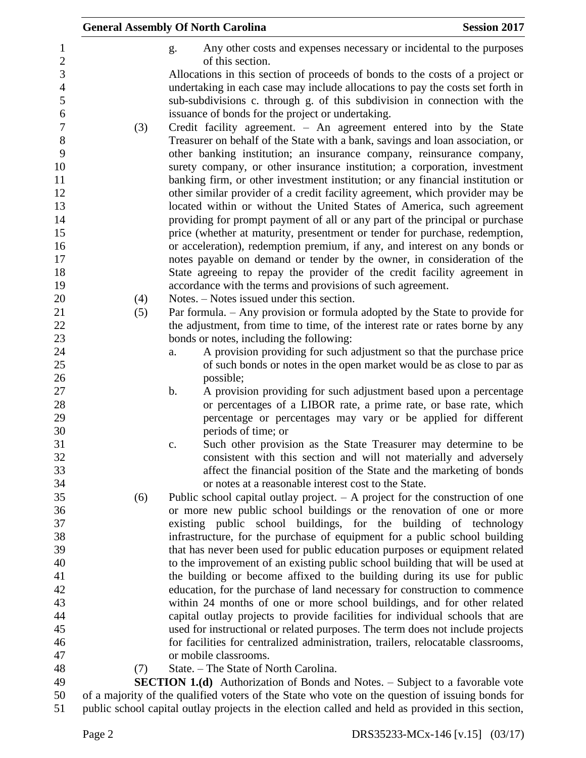|            | <b>General Assembly Of North Carolina</b><br><b>Session 2017</b>                                                              |
|------------|-------------------------------------------------------------------------------------------------------------------------------|
|            | Any other costs and expenses necessary or incidental to the purposes<br>g.                                                    |
|            | of this section.                                                                                                              |
|            | Allocations in this section of proceeds of bonds to the costs of a project or                                                 |
|            | undertaking in each case may include allocations to pay the costs set forth in                                                |
|            | sub-subdivisions c. through g. of this subdivision in connection with the                                                     |
|            | issuance of bonds for the project or undertaking.                                                                             |
| (3)        | Credit facility agreement. - An agreement entered into by the State                                                           |
|            | Treasurer on behalf of the State with a bank, savings and loan association, or                                                |
|            | other banking institution; an insurance company, reinsurance company,                                                         |
|            | surety company, or other insurance institution; a corporation, investment                                                     |
|            | banking firm, or other investment institution; or any financial institution or                                                |
|            | other similar provider of a credit facility agreement, which provider may be                                                  |
|            | located within or without the United States of America, such agreement                                                        |
|            | providing for prompt payment of all or any part of the principal or purchase                                                  |
|            | price (whether at maturity, presentment or tender for purchase, redemption,                                                   |
|            | or acceleration), redemption premium, if any, and interest on any bonds or                                                    |
|            | notes payable on demand or tender by the owner, in consideration of the                                                       |
|            | State agreeing to repay the provider of the credit facility agreement in                                                      |
|            | accordance with the terms and provisions of such agreement.<br>Notes. – Notes issued under this section.                      |
| (4)<br>(5) | Par formula. - Any provision or formula adopted by the State to provide for                                                   |
|            | the adjustment, from time to time, of the interest rate or rates borne by any                                                 |
|            | bonds or notes, including the following:                                                                                      |
|            | A provision providing for such adjustment so that the purchase price<br>a.                                                    |
|            | of such bonds or notes in the open market would be as close to par as                                                         |
|            | possible;                                                                                                                     |
|            | b.<br>A provision providing for such adjustment based upon a percentage                                                       |
|            | or percentages of a LIBOR rate, a prime rate, or base rate, which                                                             |
|            | percentage or percentages may vary or be applied for different                                                                |
|            | periods of time; or                                                                                                           |
|            | Such other provision as the State Treasurer may determine to be<br>c.                                                         |
|            | consistent with this section and will not materially and adversely                                                            |
|            | affect the financial position of the State and the marketing of bonds                                                         |
|            | or notes at a reasonable interest cost to the State.                                                                          |
| (6)        | Public school capital outlay project. $- A$ project for the construction of one                                               |
|            | or more new public school buildings or the renovation of one or more                                                          |
|            | existing public school buildings, for the building of technology                                                              |
|            | infrastructure, for the purchase of equipment for a public school building                                                    |
|            | that has never been used for public education purposes or equipment related                                                   |
|            | to the improvement of an existing public school building that will be used at                                                 |
|            | the building or become affixed to the building during its use for public                                                      |
|            | education, for the purchase of land necessary for construction to commence                                                    |
|            | within 24 months of one or more school buildings, and for other related                                                       |
|            | capital outlay projects to provide facilities for individual schools that are                                                 |
|            | used for instructional or related purposes. The term does not include projects                                                |
|            | for facilities for centralized administration, trailers, relocatable classrooms,                                              |
|            | or mobile classrooms.                                                                                                         |
| (7)        | State. - The State of North Carolina.<br><b>SECTION 1.(d)</b> Authorization of Bonds and Notes. – Subject to a favorable vote |
|            | of a majority of the qualified voters of the State who vote on the question of issuing bonds for                              |
|            |                                                                                                                               |

public school capital outlay projects in the election called and held as provided in this section,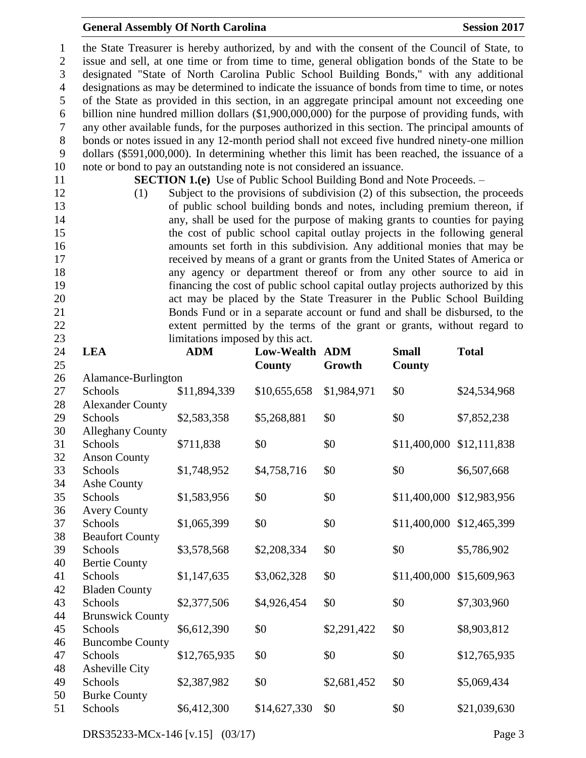### **General Assembly Of North Carolina Session 2017**

 the State Treasurer is hereby authorized, by and with the consent of the Council of State, to issue and sell, at one time or from time to time, general obligation bonds of the State to be designated "State of North Carolina Public School Building Bonds," with any additional designations as may be determined to indicate the issuance of bonds from time to time, or notes of the State as provided in this section, in an aggregate principal amount not exceeding one billion nine hundred million dollars (\$1,900,000,000) for the purpose of providing funds, with any other available funds, for the purposes authorized in this section. The principal amounts of bonds or notes issued in any 12-month period shall not exceed five hundred ninety-one million dollars (\$591,000,000). In determining whether this limit has been reached, the issuance of a note or bond to pay an outstanding note is not considered an issuance.

**SECTION 1.(e)** Use of Public School Building Bond and Note Proceeds. –

 (1) Subject to the provisions of subdivision (2) of this subsection, the proceeds of public school building bonds and notes, including premium thereon, if any, shall be used for the purpose of making grants to counties for paying the cost of public school capital outlay projects in the following general amounts set forth in this subdivision. Any additional monies that may be received by means of a grant or grants from the United States of America or any agency or department thereof or from any other source to aid in financing the cost of public school capital outlay projects authorized by this act may be placed by the State Treasurer in the Public School Building Bonds Fund or in a separate account or fund and shall be disbursed, to the extent permitted by the terms of the grant or grants, without regard to 23 limitations imposed by this act.

| 24<br>25 | <b>LEA</b>                | <b>ADM</b>   | Low-Wealth<br>County | <b>ADM</b><br>Growth | <b>Small</b><br>County | <b>Total</b>              |
|----------|---------------------------|--------------|----------------------|----------------------|------------------------|---------------------------|
| 26       | Alamance-Burlington       |              |                      |                      |                        |                           |
| 27       | Schools                   | \$11,894,339 | \$10,655,658         | \$1,984,971          | \$0                    | \$24,534,968              |
| 28       | <b>Alexander County</b>   |              |                      |                      |                        |                           |
| 29       | Schools                   | \$2,583,358  | \$5,268,881          | \$0                  | \$0                    | \$7,852,238               |
| 30       | <b>Alleghany County</b>   |              |                      |                      |                        |                           |
| 31       | Schools                   | \$711,838    | \$0                  | \$0                  | \$11,400,000           | \$12,111,838              |
| 32       | <b>Anson County</b>       |              |                      |                      |                        |                           |
| 33       | Schools                   | \$1,748,952  | \$4,758,716          | \$0                  | \$0                    | \$6,507,668               |
| 34       | Ashe County               |              |                      |                      |                        |                           |
| 35       | Schools                   | \$1,583,956  | \$0                  | \$0                  | \$11,400,000           | \$12,983,956              |
| 36       | <b>Avery County</b>       |              |                      |                      |                        |                           |
| 37       | Schools                   | \$1,065,399  | \$0                  | \$0                  |                        | \$11,400,000 \$12,465,399 |
| 38       | <b>Beaufort County</b>    |              |                      |                      |                        |                           |
| 39       | Schools                   | \$3,578,568  | \$2,208,334          | \$0                  | \$0                    | \$5,786,902               |
| 40       | <b>Bertie County</b>      |              |                      |                      |                        |                           |
| 41       | Schools                   | \$1,147,635  | \$3,062,328          | \$0                  | \$11,400,000           | \$15,609,963              |
| 42       | <b>Bladen County</b>      |              |                      |                      |                        |                           |
| 43       | Schools                   | \$2,377,506  | \$4,926,454          | \$0                  | \$0                    | \$7,303,960               |
| 44       | <b>Brunswick County</b>   |              |                      |                      |                        |                           |
| 45       | Schools                   | \$6,612,390  | \$0                  | \$2,291,422          | \$0                    | \$8,903,812               |
| 46       | <b>Buncombe County</b>    |              |                      |                      |                        |                           |
| 47       | Schools                   | \$12,765,935 | \$0                  | \$0                  | \$0                    | \$12,765,935              |
| 48<br>49 | Asheville City<br>Schools |              | \$0                  |                      | \$0                    |                           |
| 50       | <b>Burke County</b>       | \$2,387,982  |                      | \$2,681,452          |                        | \$5,069,434               |
| 51       | Schools                   | \$6,412,300  | \$14,627,330         | \$0                  | \$0                    | \$21,039,630              |
|          |                           |              |                      |                      |                        |                           |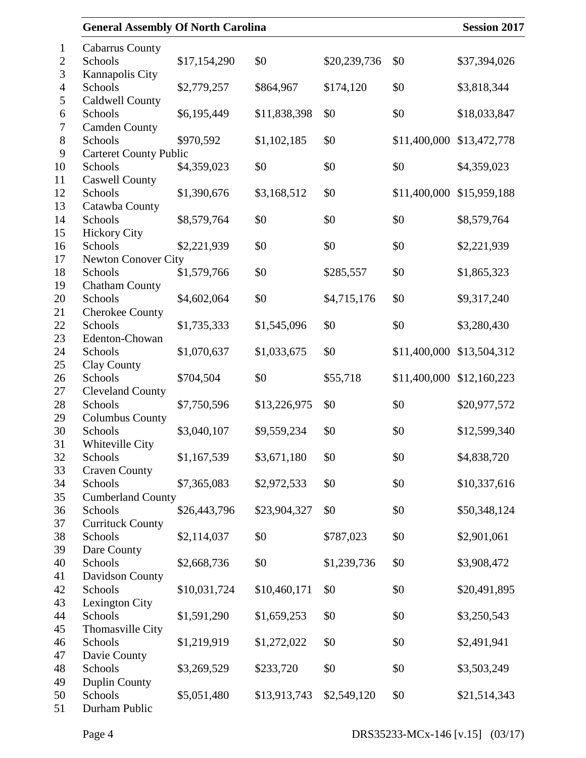| <b>General Assembly Of North Carolina</b> |              |              |              |              | <b>Session 2017</b> |
|-------------------------------------------|--------------|--------------|--------------|--------------|---------------------|
| <b>Cabarrus County</b>                    |              |              |              |              |                     |
| Schools<br>Kannapolis City                | \$17,154,290 | \$0          | \$20,239,736 | \$0          | \$37,394,026        |
| Schools                                   | \$2,779,257  | \$864,967    | \$174,120    | \$0          | \$3,818,344         |
| <b>Caldwell County</b>                    |              |              |              |              |                     |
| Schools                                   | \$6,195,449  | \$11,838,398 | \$0          | \$0          | \$18,033,847        |
| <b>Camden County</b>                      |              |              |              |              |                     |
| Schools                                   | \$970,592    | \$1,102,185  | \$0          | \$11,400,000 | \$13,472,778        |
| <b>Carteret County Public</b><br>Schools  | \$4,359,023  | \$0          | \$0          | \$0          | \$4,359,023         |
| <b>Caswell County</b>                     |              |              |              |              |                     |
| Schools                                   | \$1,390,676  | \$3,168,512  | \$0          | \$11,400,000 | \$15,959,188        |
| Catawba County                            |              |              |              |              |                     |
| Schools                                   | \$8,579,764  | \$0          | \$0          | \$0          | \$8,579,764         |
| <b>Hickory City</b>                       |              |              |              |              |                     |
| Schools                                   | \$2,221,939  | \$0          | \$0          | \$0          | \$2,221,939         |
| <b>Newton Conover City</b>                |              |              |              |              |                     |
| Schools                                   | \$1,579,766  | \$0          | \$285,557    | \$0          | \$1,865,323         |
| <b>Chatham County</b>                     |              |              |              |              |                     |
| Schools                                   | \$4,602,064  | \$0          | \$4,715,176  | \$0          | \$9,317,240         |
| Cherokee County                           |              |              |              |              |                     |
| Schools                                   | \$1,735,333  | \$1,545,096  | \$0          | \$0          | \$3,280,430         |
| Edenton-Chowan                            |              |              |              |              |                     |
| Schools                                   | \$1,070,637  | \$1,033,675  | \$0          | \$11,400,000 | \$13,504,312        |
| <b>Clay County</b><br>Schools             | \$704,504    | \$0          | \$55,718     | \$11,400,000 | \$12,160,223        |
| <b>Cleveland County</b>                   |              |              |              |              |                     |
| Schools                                   | \$7,750,596  | \$13,226,975 | \$0          | \$0          | \$20,977,572        |
| <b>Columbus County</b>                    |              |              |              |              |                     |
| Schools                                   | \$3,040,107  | \$9,559,234  | \$0          | \$0          | \$12,599,340        |
| <b>Whiteville City</b>                    |              |              |              |              |                     |
| Schools                                   | \$1,167,539  | \$3,671,180  | \$0          | \$0          | \$4,838,720         |
| <b>Craven County</b>                      |              |              |              |              |                     |
| Schools                                   | \$7,365,083  | \$2,972,533  | \$0          | \$0          | \$10,337,616        |
| <b>Cumberland County</b>                  |              |              |              |              |                     |
| Schools                                   | \$26,443,796 | \$23,904,327 | \$0          | \$0          | \$50,348,124        |
| <b>Currituck County</b>                   |              |              |              |              |                     |
| Schools                                   | \$2,114,037  | \$0          | \$787,023    | \$0          | \$2,901,061         |
| Dare County                               |              |              |              |              |                     |
| Schools                                   | \$2,668,736  | \$0          | \$1,239,736  | \$0          | \$3,908,472         |
| Davidson County<br>Schools                | \$10,031,724 | \$10,460,171 |              |              |                     |
| Lexington City                            |              |              | \$0          | \$0          | \$20,491,895        |
| Schools                                   | \$1,591,290  | \$1,659,253  | \$0          | \$0          | \$3,250,543         |
| Thomasville City                          |              |              |              |              |                     |
| Schools                                   | \$1,219,919  | \$1,272,022  | \$0          | \$0          | \$2,491,941         |
| Davie County                              |              |              |              |              |                     |
| Schools                                   | \$3,269,529  | \$233,720    | \$0          | \$0          | \$3,503,249         |
| <b>Duplin County</b>                      |              |              |              |              |                     |
| Schools                                   | \$5,051,480  | \$13,913,743 | \$2,549,120  | \$0          | \$21,514,343        |
| Durham Public                             |              |              |              |              |                     |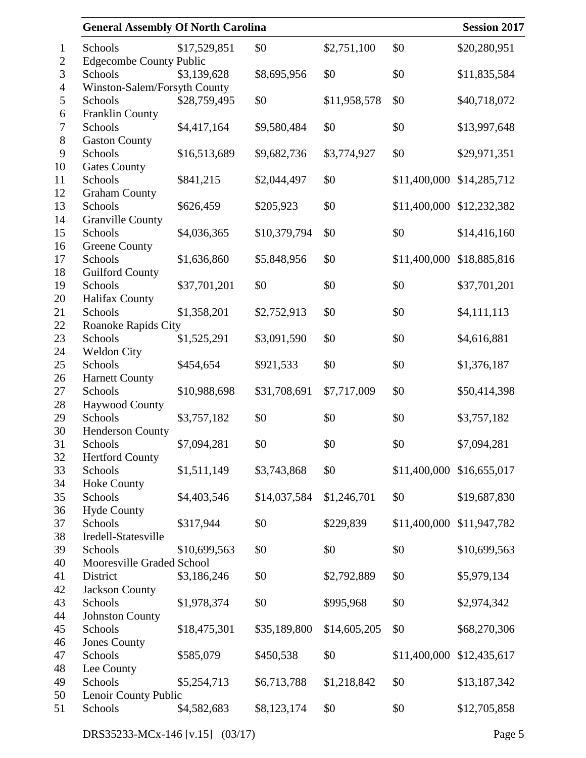| <b>General Assembly Of North Carolina</b> |              |              |              |              | <b>Session 2017</b>       |
|-------------------------------------------|--------------|--------------|--------------|--------------|---------------------------|
| Schools                                   | \$17,529,851 | \$0          | \$2,751,100  | \$0          | \$20,280,951              |
| <b>Edgecombe County Public</b>            |              |              |              |              |                           |
| Schools                                   | \$3,139,628  | \$8,695,956  | \$0          | \$0          | \$11,835,584              |
| Winston-Salem/Forsyth County              |              |              |              |              |                           |
| Schools                                   | \$28,759,495 | \$0          | \$11,958,578 | \$0          | \$40,718,072              |
| <b>Franklin County</b>                    |              |              |              |              |                           |
| Schools                                   | \$4,417,164  | \$9,580,484  | \$0          | \$0          | \$13,997,648              |
| <b>Gaston County</b>                      |              |              |              |              |                           |
| Schools                                   | \$16,513,689 | \$9,682,736  | \$3,774,927  | \$0          | \$29,971,351              |
| <b>Gates County</b>                       |              |              |              |              |                           |
| Schools                                   | \$841,215    | \$2,044,497  | \$0          | \$11,400,000 | \$14,285,712              |
| <b>Graham County</b>                      |              |              |              |              |                           |
| Schools                                   | \$626,459    | \$205,923    | \$0          | \$11,400,000 | \$12,232,382              |
| <b>Granville County</b>                   |              |              |              |              |                           |
| Schools                                   | \$4,036,365  | \$10,379,794 | \$0          | \$0          | \$14,416,160              |
| <b>Greene County</b>                      |              |              |              |              | \$18,885,816              |
| Schools                                   | \$1,636,860  | \$5,848,956  | \$0          | \$11,400,000 |                           |
| <b>Guilford County</b><br>Schools         | \$37,701,201 | \$0          | \$0          | \$0          | \$37,701,201              |
| Halifax County                            |              |              |              |              |                           |
| Schools                                   | \$1,358,201  | \$2,752,913  | \$0          | \$0          | \$4,111,113               |
| Roanoke Rapids City                       |              |              |              |              |                           |
| Schools                                   | \$1,525,291  | \$3,091,590  | \$0          | \$0          | \$4,616,881               |
| Weldon City                               |              |              |              |              |                           |
| Schools                                   | \$454,654    | \$921,533    | \$0          | \$0          | \$1,376,187               |
| <b>Harnett County</b>                     |              |              |              |              |                           |
| Schools                                   | \$10,988,698 | \$31,708,691 | \$7,717,009  | \$0          | \$50,414,398              |
| <b>Haywood County</b>                     |              |              |              |              |                           |
| Schools                                   | \$3,757,182  | \$0          | \$0          | \$0          | \$3,757,182               |
| <b>Henderson County</b>                   |              |              |              |              |                           |
| Schools                                   | \$7,094,281  | \$0          | \$0          | \$0          | \$7,094,281               |
| <b>Hertford County</b>                    |              |              |              |              |                           |
| Schools                                   | \$1,511,149  | \$3,743,868  | \$0          |              | \$11,400,000 \$16,655,017 |
| <b>Hoke County</b>                        |              |              |              |              |                           |
| Schools                                   | \$4,403,546  | \$14,037,584 | \$1,246,701  | \$0          | \$19,687,830              |
| <b>Hyde County</b><br>Schools             | \$317,944    | \$0          | \$229,839    | \$11,400,000 | \$11,947,782              |
| Iredell-Statesville                       |              |              |              |              |                           |
| Schools                                   | \$10,699,563 | \$0          | \$0          | \$0          | \$10,699,563              |
| Mooresville Graded School                 |              |              |              |              |                           |
| District                                  | \$3,186,246  | \$0          | \$2,792,889  | \$0          | \$5,979,134               |
| <b>Jackson County</b>                     |              |              |              |              |                           |
| Schools                                   | \$1,978,374  | \$0          | \$995,968    | \$0          | \$2,974,342               |
| <b>Johnston County</b>                    |              |              |              |              |                           |
| Schools                                   | \$18,475,301 | \$35,189,800 | \$14,605,205 | \$0          | \$68,270,306              |
| <b>Jones County</b>                       |              |              |              |              |                           |
| Schools                                   | \$585,079    | \$450,538    | \$0          | \$11,400,000 | \$12,435,617              |
| Lee County                                |              |              |              |              |                           |
| Schools                                   | \$5,254,713  | \$6,713,788  | \$1,218,842  | \$0          | \$13,187,342              |
| Lenoir County Public                      |              |              |              |              |                           |
| Schools                                   | \$4,582,683  | \$8,123,174  | \$0          | \$0          | \$12,705,858              |
|                                           |              |              |              |              |                           |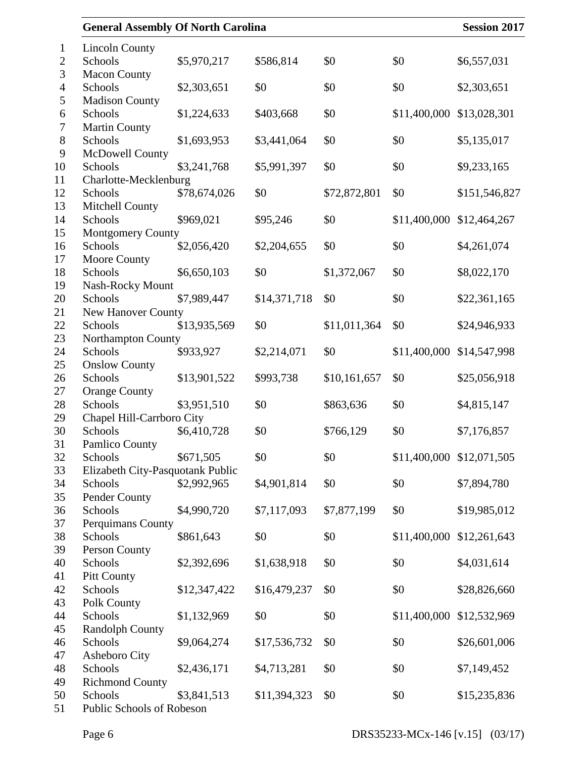| <b>General Assembly Of North Carolina</b> |              |              |              |              | <b>Session 2017</b>       |
|-------------------------------------------|--------------|--------------|--------------|--------------|---------------------------|
| <b>Lincoln County</b>                     |              |              |              |              |                           |
| Schools                                   | \$5,970,217  | \$586,814    | \$0          | \$0          | \$6,557,031               |
| <b>Macon County</b><br>Schools            | \$2,303,651  | \$0          | \$0          | \$0          | \$2,303,651               |
| <b>Madison County</b>                     |              |              |              |              |                           |
| Schools                                   | \$1,224,633  | \$403,668    | \$0          | \$11,400,000 | \$13,028,301              |
| <b>Martin County</b>                      |              |              |              |              |                           |
| Schools                                   | \$1,693,953  | \$3,441,064  | \$0          | \$0          | \$5,135,017               |
| McDowell County<br>Schools                | \$3,241,768  | \$5,991,397  | \$0          | \$0          | \$9,233,165               |
| Charlotte-Mecklenburg                     |              |              |              |              |                           |
| Schools                                   | \$78,674,026 | \$0          | \$72,872,801 | \$0          | \$151,546,827             |
| Mitchell County                           |              |              |              |              |                           |
| Schools                                   | \$969,021    | \$95,246     | \$0          | \$11,400,000 | \$12,464,267              |
| <b>Montgomery County</b>                  |              |              |              |              |                           |
| Schools                                   | \$2,056,420  | \$2,204,655  | \$0          | \$0          | \$4,261,074               |
| Moore County                              |              |              |              |              |                           |
| Schools                                   | \$6,650,103  | \$0          | \$1,372,067  | \$0          | \$8,022,170               |
| Nash-Rocky Mount                          |              |              |              |              |                           |
| Schools                                   | \$7,989,447  | \$14,371,718 | \$0          | \$0          | \$22,361,165              |
| New Hanover County                        |              |              |              |              |                           |
| Schools                                   | \$13,935,569 | \$0          | \$11,011,364 | \$0          | \$24,946,933              |
| Northampton County                        |              |              |              |              |                           |
| Schools                                   | \$933,927    | \$2,214,071  | \$0          | \$11,400,000 | \$14,547,998              |
| <b>Onslow County</b>                      |              |              |              |              |                           |
| Schools                                   | \$13,901,522 | \$993,738    | \$10,161,657 | \$0          | \$25,056,918              |
| <b>Orange County</b>                      |              |              |              |              |                           |
| Schools                                   | \$3,951,510  | \$0          | \$863,636    | \$0          | \$4,815,147               |
| Chapel Hill-Carrboro City                 |              |              |              |              |                           |
| Schools                                   | \$6,410,728  | \$0          | \$766,129    | \$0          | \$7,176,857               |
| Pamlico County                            |              |              |              |              |                           |
| Schools                                   | \$671,505    | \$0          | \$0          |              | \$11,400,000 \$12,071,505 |
| Elizabeth City-Pasquotank Public          |              |              |              |              |                           |
| Schools                                   | \$2,992,965  | \$4,901,814  | \$0          | \$0          | \$7,894,780               |
| Pender County                             |              |              |              |              |                           |
| Schools                                   | \$4,990,720  | \$7,117,093  | \$7,877,199  | \$0          | \$19,985,012              |
| Perquimans County                         |              |              |              |              |                           |
| Schools                                   | \$861,643    | \$0          | \$0          | \$11,400,000 | \$12,261,643              |
| Person County<br>Schools                  | \$2,392,696  | \$1,638,918  | \$0          | \$0          | \$4,031,614               |
| <b>Pitt County</b>                        |              |              |              |              |                           |
| Schools                                   | \$12,347,422 | \$16,479,237 | \$0          | \$0          | \$28,826,660              |
| Polk County                               |              |              |              |              |                           |
| Schools                                   | \$1,132,969  | \$0          | \$0          | \$11,400,000 | \$12,532,969              |
| <b>Randolph County</b>                    |              |              |              |              |                           |
| Schools                                   | \$9,064,274  | \$17,536,732 | \$0          | \$0          | \$26,601,006              |
| Asheboro City                             |              |              |              |              |                           |
| Schools                                   | \$2,436,171  | \$4,713,281  | \$0          | \$0          | \$7,149,452               |
| <b>Richmond County</b>                    |              |              |              |              |                           |
| Schools                                   | \$3,841,513  | \$11,394,323 | \$0          | \$0          | \$15,235,836              |
| Public Schools of Robeson                 |              |              |              |              |                           |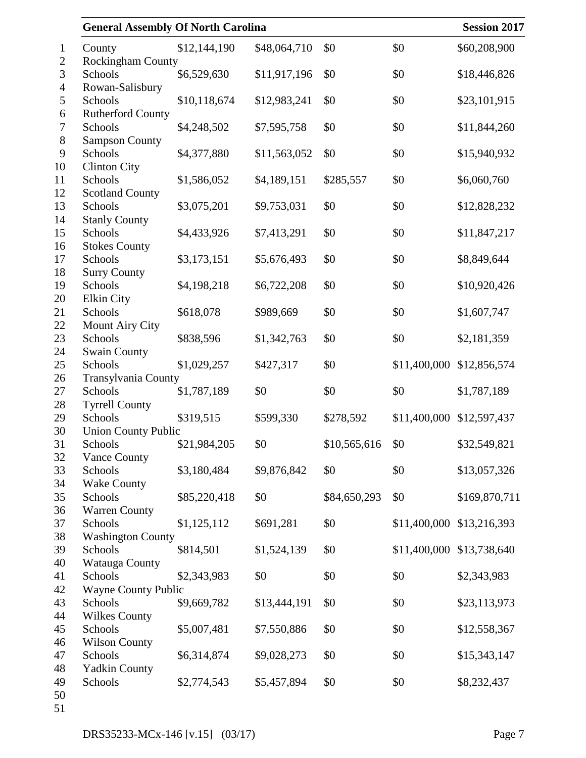| <b>General Assembly Of North Carolina</b> |              |              |              |              | <b>Session 2017</b> |
|-------------------------------------------|--------------|--------------|--------------|--------------|---------------------|
| County                                    | \$12,144,190 | \$48,064,710 | \$0          | \$0          | \$60,208,900        |
| <b>Rockingham County</b>                  |              |              |              |              |                     |
| Schools                                   | \$6,529,630  | \$11,917,196 | \$0          | \$0          | \$18,446,826        |
| Rowan-Salisbury                           |              |              |              |              |                     |
| Schools                                   | \$10,118,674 | \$12,983,241 | \$0          | \$0          | \$23,101,915        |
| <b>Rutherford County</b>                  |              |              |              |              |                     |
| Schools                                   | \$4,248,502  | \$7,595,758  | \$0          | \$0          | \$11,844,260        |
| <b>Sampson County</b>                     |              |              |              |              |                     |
| Schools                                   | \$4,377,880  | \$11,563,052 | \$0          | \$0          | \$15,940,932        |
| <b>Clinton City</b>                       |              |              |              |              |                     |
| Schools                                   | \$1,586,052  | \$4,189,151  | \$285,557    | \$0          | \$6,060,760         |
| <b>Scotland County</b><br>Schools         | \$3,075,201  | \$9,753,031  | \$0          | \$0          | \$12,828,232        |
| <b>Stanly County</b>                      |              |              |              |              |                     |
| Schools                                   | \$4,433,926  | \$7,413,291  | \$0          | \$0          | \$11,847,217        |
| <b>Stokes County</b>                      |              |              |              |              |                     |
| Schools                                   | \$3,173,151  | \$5,676,493  | \$0          | \$0          | \$8,849,644         |
| <b>Surry County</b>                       |              |              |              |              |                     |
| Schools                                   | \$4,198,218  | \$6,722,208  | \$0          | \$0          | \$10,920,426        |
| <b>Elkin City</b>                         |              |              |              |              |                     |
| Schools                                   | \$618,078    | \$989,669    | \$0          | \$0          | \$1,607,747         |
| <b>Mount Airy City</b>                    |              |              |              |              |                     |
| Schools                                   | \$838,596    | \$1,342,763  | \$0          | \$0          | \$2,181,359         |
| <b>Swain County</b>                       |              |              |              |              |                     |
| Schools                                   | \$1,029,257  | \$427,317    | \$0          | \$11,400,000 | \$12,856,574        |
| Transylvania County                       |              |              |              |              |                     |
| Schools                                   | \$1,787,189  | \$0          | \$0          | \$0          | \$1,787,189         |
| <b>Tyrrell County</b>                     |              |              |              |              |                     |
| Schools                                   | \$319,515    | \$599,330    | \$278,592    | \$11,400,000 | \$12,597,437        |
| <b>Union County Public</b>                |              |              |              |              |                     |
| Schools                                   | \$21,984,205 | \$0          | \$10,565,616 | \$0          | \$32,549,821        |
| <b>Vance County</b><br>Schools            |              | \$9,876,842  | \$0          | \$0          |                     |
| <b>Wake County</b>                        | \$3,180,484  |              |              |              | \$13,057,326        |
| Schools                                   | \$85,220,418 | \$0          | \$84,650,293 | \$0          | \$169,870,711       |
| <b>Warren County</b>                      |              |              |              |              |                     |
| Schools                                   | \$1,125,112  | \$691,281    | \$0          | \$11,400,000 | \$13,216,393        |
| <b>Washington County</b>                  |              |              |              |              |                     |
| Schools                                   | \$814,501    | \$1,524,139  | \$0          | \$11,400,000 | \$13,738,640        |
| Watauga County                            |              |              |              |              |                     |
| Schools                                   | \$2,343,983  | \$0          | \$0          | \$0          | \$2,343,983         |
| <b>Wayne County Public</b>                |              |              |              |              |                     |
| Schools                                   | \$9,669,782  | \$13,444,191 | \$0          | \$0          | \$23,113,973        |
| <b>Wilkes County</b>                      |              |              |              |              |                     |
| Schools                                   | \$5,007,481  | \$7,550,886  | \$0          | \$0          | \$12,558,367        |
| <b>Wilson County</b>                      |              |              |              |              |                     |
| Schools                                   | \$6,314,874  | \$9,028,273  | \$0          | \$0          | \$15,343,147        |
| <b>Yadkin County</b>                      |              |              |              |              |                     |
| Schools                                   | \$2,774,543  | \$5,457,894  | \$0          | \$0          | \$8,232,437         |
|                                           |              |              |              |              |                     |
|                                           |              |              |              |              |                     |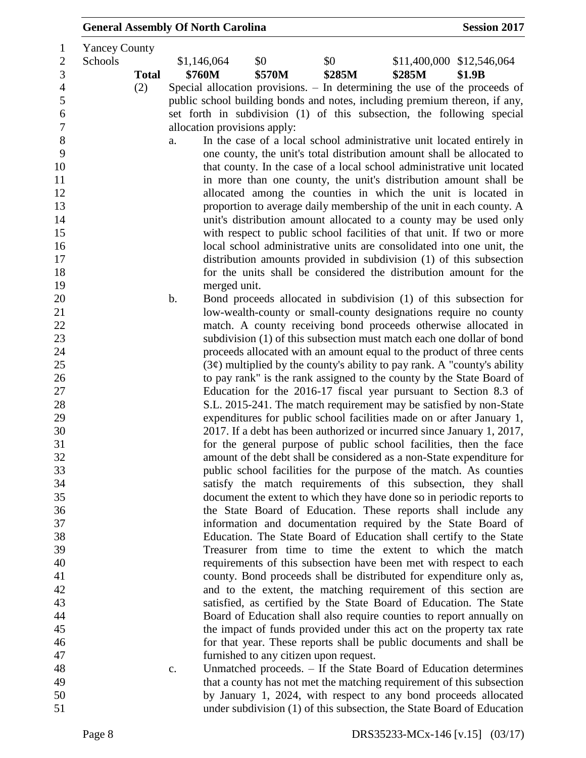|                      |              |               | <b>General Assembly Of North Carolina</b> |                              |                                        |                                                                                                                                 | <b>Session 2017</b>       |
|----------------------|--------------|---------------|-------------------------------------------|------------------------------|----------------------------------------|---------------------------------------------------------------------------------------------------------------------------------|---------------------------|
| <b>Yancey County</b> |              |               |                                           |                              |                                        |                                                                                                                                 |                           |
| Schools              |              |               | \$1,146,064                               | \$0                          | \$0                                    |                                                                                                                                 | \$11,400,000 \$12,546,064 |
|                      | <b>Total</b> |               | \$760M                                    | \$570M                       | \$285M                                 | \$285M                                                                                                                          | \$1.9B                    |
|                      | (2)          |               |                                           |                              |                                        | Special allocation provisions. – In determining the use of the proceeds of                                                      |                           |
|                      |              |               |                                           |                              |                                        | public school building bonds and notes, including premium thereon, if any,                                                      |                           |
|                      |              |               |                                           |                              |                                        | set forth in subdivision (1) of this subsection, the following special                                                          |                           |
|                      |              |               |                                           | allocation provisions apply: |                                        |                                                                                                                                 |                           |
|                      |              | a.            |                                           |                              |                                        | In the case of a local school administrative unit located entirely in                                                           |                           |
|                      |              |               |                                           |                              |                                        | one county, the unit's total distribution amount shall be allocated to                                                          |                           |
|                      |              |               |                                           |                              |                                        | that county. In the case of a local school administrative unit located                                                          |                           |
|                      |              |               |                                           |                              |                                        | in more than one county, the unit's distribution amount shall be                                                                |                           |
|                      |              |               |                                           |                              |                                        | allocated among the counties in which the unit is located in                                                                    |                           |
|                      |              |               |                                           |                              |                                        | proportion to average daily membership of the unit in each county. A                                                            |                           |
|                      |              |               |                                           |                              |                                        | unit's distribution amount allocated to a county may be used only                                                               |                           |
|                      |              |               |                                           |                              |                                        | with respect to public school facilities of that unit. If two or more                                                           |                           |
|                      |              |               |                                           |                              |                                        | local school administrative units are consolidated into one unit, the                                                           |                           |
|                      |              |               |                                           |                              |                                        | distribution amounts provided in subdivision (1) of this subsection                                                             |                           |
|                      |              |               |                                           |                              |                                        | for the units shall be considered the distribution amount for the                                                               |                           |
|                      |              |               | merged unit.                              |                              |                                        |                                                                                                                                 |                           |
|                      |              | $\mathbf b$ . |                                           |                              |                                        | Bond proceeds allocated in subdivision (1) of this subsection for                                                               |                           |
|                      |              |               |                                           |                              |                                        | low-wealth-county or small-county designations require no county                                                                |                           |
|                      |              |               |                                           |                              |                                        | match. A county receiving bond proceeds otherwise allocated in                                                                  |                           |
|                      |              |               |                                           |                              |                                        | subdivision (1) of this subsection must match each one dollar of bond                                                           |                           |
|                      |              |               |                                           |                              |                                        | proceeds allocated with an amount equal to the product of three cents                                                           |                           |
|                      |              |               |                                           |                              |                                        | $(3¢)$ multiplied by the county's ability to pay rank. A "county's ability                                                      |                           |
|                      |              |               |                                           |                              |                                        | to pay rank" is the rank assigned to the county by the State Board of                                                           |                           |
|                      |              |               |                                           |                              |                                        | Education for the 2016-17 fiscal year pursuant to Section 8.3 of                                                                |                           |
|                      |              |               |                                           |                              |                                        | S.L. 2015-241. The match requirement may be satisfied by non-State                                                              |                           |
|                      |              |               |                                           |                              |                                        | expenditures for public school facilities made on or after January 1,                                                           |                           |
|                      |              |               |                                           |                              |                                        | 2017. If a debt has been authorized or incurred since January 1, 2017,                                                          |                           |
|                      |              |               |                                           |                              |                                        | for the general purpose of public school facilities, then the face                                                              |                           |
|                      |              |               |                                           |                              |                                        | amount of the debt shall be considered as a non-State expenditure for                                                           |                           |
|                      |              |               |                                           |                              |                                        | public school facilities for the purpose of the match. As counties                                                              |                           |
|                      |              |               |                                           |                              |                                        | satisfy the match requirements of this subsection, they shall                                                                   |                           |
|                      |              |               |                                           |                              |                                        | document the extent to which they have done so in periodic reports to                                                           |                           |
|                      |              |               |                                           |                              |                                        | the State Board of Education. These reports shall include any                                                                   |                           |
|                      |              |               |                                           |                              |                                        | information and documentation required by the State Board of                                                                    |                           |
|                      |              |               |                                           |                              |                                        | Education. The State Board of Education shall certify to the State<br>Treasurer from time to time the extent to which the match |                           |
|                      |              |               |                                           |                              |                                        | requirements of this subsection have been met with respect to each                                                              |                           |
|                      |              |               |                                           |                              |                                        | county. Bond proceeds shall be distributed for expenditure only as,                                                             |                           |
|                      |              |               |                                           |                              |                                        | and to the extent, the matching requirement of this section are                                                                 |                           |
|                      |              |               |                                           |                              |                                        | satisfied, as certified by the State Board of Education. The State                                                              |                           |
|                      |              |               |                                           |                              |                                        | Board of Education shall also require counties to report annually on                                                            |                           |
|                      |              |               |                                           |                              |                                        | the impact of funds provided under this act on the property tax rate                                                            |                           |
|                      |              |               |                                           |                              |                                        | for that year. These reports shall be public documents and shall be                                                             |                           |
|                      |              |               |                                           |                              |                                        |                                                                                                                                 |                           |
|                      |              |               |                                           |                              | furnished to any citizen upon request. | Unmatched proceeds. - If the State Board of Education determines                                                                |                           |
|                      |              | c.            |                                           |                              |                                        | that a county has not met the matching requirement of this subsection                                                           |                           |
|                      |              |               |                                           |                              |                                        | by January 1, 2024, with respect to any bond proceeds allocated                                                                 |                           |
|                      |              |               |                                           |                              |                                        | under subdivision (1) of this subsection, the State Board of Education                                                          |                           |
|                      |              |               |                                           |                              |                                        |                                                                                                                                 |                           |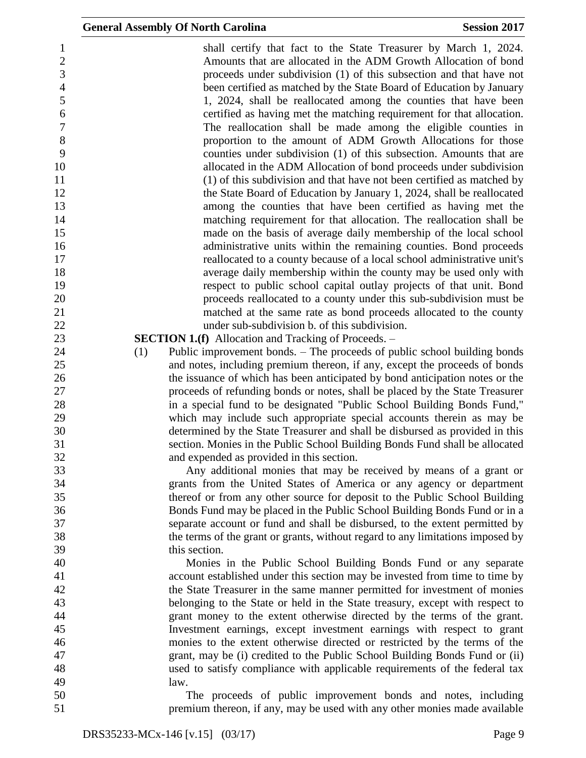shall certify that fact to the State Treasurer by March 1, 2024. Amounts that are allocated in the ADM Growth Allocation of bond proceeds under subdivision (1) of this subsection and that have not been certified as matched by the State Board of Education by January 1, 2024, shall be reallocated among the counties that have been certified as having met the matching requirement for that allocation. The reallocation shall be made among the eligible counties in proportion to the amount of ADM Growth Allocations for those counties under subdivision (1) of this subsection. Amounts that are allocated in the ADM Allocation of bond proceeds under subdivision (1) of this subdivision and that have not been certified as matched by 12 the State Board of Education by January 1, 2024, shall be reallocated among the counties that have been certified as having met the matching requirement for that allocation. The reallocation shall be made on the basis of average daily membership of the local school administrative units within the remaining counties. Bond proceeds reallocated to a county because of a local school administrative unit's average daily membership within the county may be used only with respect to public school capital outlay projects of that unit. Bond proceeds reallocated to a county under this sub-subdivision must be matched at the same rate as bond proceeds allocated to the county under sub-subdivision b. of this subdivision. **SECTION 1.(f)** Allocation and Tracking of Proceeds. – (1) Public improvement bonds. – The proceeds of public school building bonds and notes, including premium thereon, if any, except the proceeds of bonds the issuance of which has been anticipated by bond anticipation notes or the proceeds of refunding bonds or notes, shall be placed by the State Treasurer in a special fund to be designated "Public School Building Bonds Fund," which may include such appropriate special accounts therein as may be determined by the State Treasurer and shall be disbursed as provided in this section. Monies in the Public School Building Bonds Fund shall be allocated and expended as provided in this section. Any additional monies that may be received by means of a grant or grants from the United States of America or any agency or department thereof or from any other source for deposit to the Public School Building Bonds Fund may be placed in the Public School Building Bonds Fund or in a separate account or fund and shall be disbursed, to the extent permitted by the terms of the grant or grants, without regard to any limitations imposed by this section. Monies in the Public School Building Bonds Fund or any separate account established under this section may be invested from time to time by the State Treasurer in the same manner permitted for investment of monies belonging to the State or held in the State treasury, except with respect to grant money to the extent otherwise directed by the terms of the grant. Investment earnings, except investment earnings with respect to grant monies to the extent otherwise directed or restricted by the terms of the grant, may be (i) credited to the Public School Building Bonds Fund or (ii) used to satisfy compliance with applicable requirements of the federal tax law. The proceeds of public improvement bonds and notes, including premium thereon, if any, may be used with any other monies made available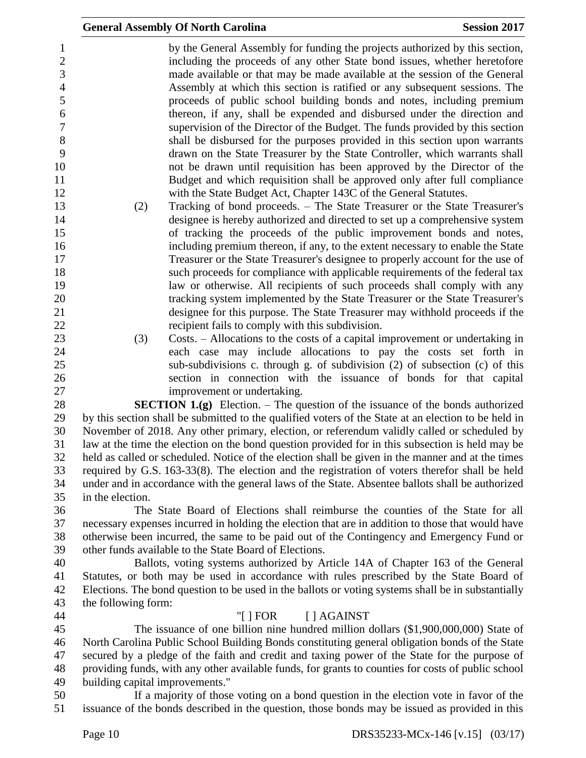|                                 | <b>General Assembly Of North Carolina</b>                                                                                                                                                                                               | <b>Session 2017</b>                         |
|---------------------------------|-----------------------------------------------------------------------------------------------------------------------------------------------------------------------------------------------------------------------------------------|---------------------------------------------|
|                                 | by the General Assembly for funding the projects authorized by this section,<br>including the proceeds of any other State bond issues, whether heretofore<br>made available or that may be made available at the session of the General |                                             |
|                                 | Assembly at which this section is ratified or any subsequent sessions. The<br>proceeds of public school building bonds and notes, including premium                                                                                     |                                             |
|                                 | thereon, if any, shall be expended and disbursed under the direction and<br>supervision of the Director of the Budget. The funds provided by this section                                                                               |                                             |
|                                 | shall be disbursed for the purposes provided in this section upon warrants<br>drawn on the State Treasurer by the State Controller, which warrants shall<br>not be drawn until requisition has been approved by the Director of the     |                                             |
|                                 | Budget and which requisition shall be approved only after full compliance<br>with the State Budget Act, Chapter 143C of the General Statutes.                                                                                           |                                             |
| (2)                             | Tracking of bond proceeds. – The State Treasurer or the State Treasurer's<br>designee is hereby authorized and directed to set up a comprehensive system                                                                                |                                             |
|                                 | of tracking the proceeds of the public improvement bonds and notes,<br>including premium thereon, if any, to the extent necessary to enable the State                                                                                   |                                             |
|                                 | Treasurer or the State Treasurer's designee to properly account for the use of                                                                                                                                                          |                                             |
|                                 | such proceeds for compliance with applicable requirements of the federal tax<br>law or otherwise. All recipients of such proceeds shall comply with any                                                                                 |                                             |
|                                 | tracking system implemented by the State Treasurer or the State Treasurer's<br>designee for this purpose. The State Treasurer may withhold proceeds if the                                                                              |                                             |
| (3)                             | recipient fails to comply with this subdivision.<br>Costs. – Allocations to the costs of a capital improvement or undertaking in                                                                                                        |                                             |
|                                 | each case may include allocations to pay the costs set forth in<br>sub-subdivisions c. through g. of subdivision (2) of subsection (c) of this                                                                                          |                                             |
|                                 | section in connection with the issuance of bonds for that capital                                                                                                                                                                       |                                             |
|                                 | improvement or undertaking.<br><b>SECTION 1.(g)</b> Election. – The question of the issuance of the bonds authorized                                                                                                                    |                                             |
|                                 | by this section shall be submitted to the qualified voters of the State at an election to be held in<br>November of 2018. Any other primary, election, or referendum validly called or scheduled by                                     |                                             |
|                                 | law at the time the election on the bond question provided for in this subsection is held may be                                                                                                                                        |                                             |
|                                 | held as called or scheduled. Notice of the election shall be given in the manner and at the times                                                                                                                                       |                                             |
|                                 | required by G.S. 163-33(8). The election and the registration of voters therefor shall be held<br>under and in accordance with the general laws of the State. Absentee ballots shall be authorized                                      |                                             |
| in the election.                |                                                                                                                                                                                                                                         |                                             |
|                                 | The State Board of Elections shall reimburse the counties of the State for all                                                                                                                                                          |                                             |
|                                 | necessary expenses incurred in holding the election that are in addition to those that would have<br>otherwise been incurred, the same to be paid out of the Contingency and Emergency Fund or                                          |                                             |
|                                 | other funds available to the State Board of Elections.                                                                                                                                                                                  |                                             |
|                                 | Ballots, voting systems authorized by Article 14A of Chapter 163 of the General                                                                                                                                                         |                                             |
|                                 | Statutes, or both may be used in accordance with rules prescribed by the State Board of                                                                                                                                                 |                                             |
|                                 | Elections. The bond question to be used in the ballots or voting systems shall be in substantially                                                                                                                                      |                                             |
| the following form:             |                                                                                                                                                                                                                                         |                                             |
|                                 | "[] FOR<br>[ ] AGAINST<br>The issuance of one billion nine hundred million dollars (\$1,900,000,000) State of                                                                                                                           |                                             |
|                                 | North Carolina Public School Building Bonds constituting general obligation bonds of the State                                                                                                                                          |                                             |
|                                 | secured by a pledge of the faith and credit and taxing power of the State for the purpose of                                                                                                                                            |                                             |
|                                 | providing funds, with any other available funds, for grants to counties for costs of public school                                                                                                                                      |                                             |
| building capital improvements." |                                                                                                                                                                                                                                         |                                             |
|                                 | If a majority of those voting on a bond question in the election vote in favor of the<br>issuance of the bonds described in the question, those bonds may be issued as provided in this                                                 |                                             |
| $D_{0}$ and $\Omega$            |                                                                                                                                                                                                                                         | DDC25222 MC <sub>y</sub> 146 [y 15] (02/17) |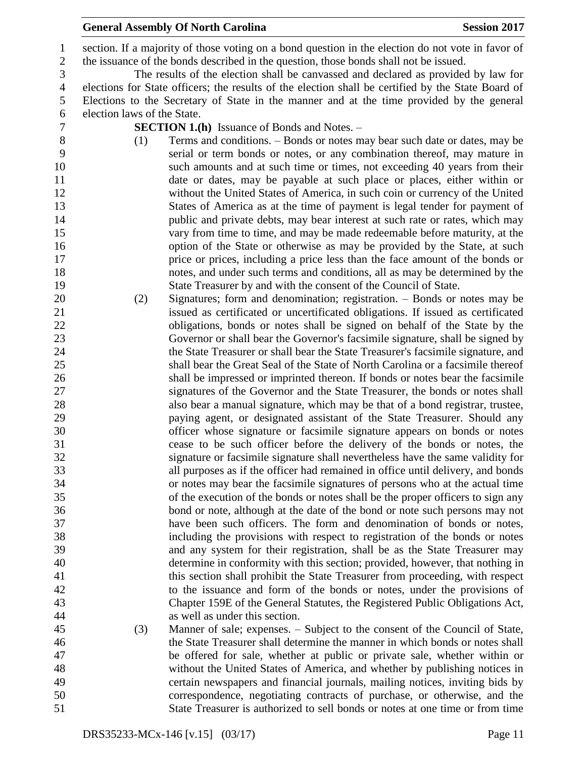### **General Assembly Of North Carolina Session 2017**

 section. If a majority of those voting on a bond question in the election do not vote in favor of the issuance of the bonds described in the question, those bonds shall not be issued.

 The results of the election shall be canvassed and declared as provided by law for elections for State officers; the results of the election shall be certified by the State Board of Elections to the Secretary of State in the manner and at the time provided by the general election laws of the State.

**SECTION 1.(h)** Issuance of Bonds and Notes. –

- (1) Terms and conditions. Bonds or notes may bear such date or dates, may be serial or term bonds or notes, or any combination thereof, may mature in such amounts and at such time or times, not exceeding 40 years from their date or dates, may be payable at such place or places, either within or without the United States of America, in such coin or currency of the United States of America as at the time of payment is legal tender for payment of public and private debts, may bear interest at such rate or rates, which may vary from time to time, and may be made redeemable before maturity, at the 16 option of the State or otherwise as may be provided by the State, at such price or prices, including a price less than the face amount of the bonds or notes, and under such terms and conditions, all as may be determined by the State Treasurer by and with the consent of the Council of State.
- (2) Signatures; form and denomination; registration. Bonds or notes may be issued as certificated or uncertificated obligations. If issued as certificated obligations, bonds or notes shall be signed on behalf of the State by the Governor or shall bear the Governor's facsimile signature, shall be signed by the State Treasurer or shall bear the State Treasurer's facsimile signature, and shall bear the Great Seal of the State of North Carolina or a facsimile thereof shall be impressed or imprinted thereon. If bonds or notes bear the facsimile signatures of the Governor and the State Treasurer, the bonds or notes shall also bear a manual signature, which may be that of a bond registrar, trustee, paying agent, or designated assistant of the State Treasurer. Should any officer whose signature or facsimile signature appears on bonds or notes cease to be such officer before the delivery of the bonds or notes, the signature or facsimile signature shall nevertheless have the same validity for all purposes as if the officer had remained in office until delivery, and bonds or notes may bear the facsimile signatures of persons who at the actual time of the execution of the bonds or notes shall be the proper officers to sign any bond or note, although at the date of the bond or note such persons may not have been such officers. The form and denomination of bonds or notes, including the provisions with respect to registration of the bonds or notes and any system for their registration, shall be as the State Treasurer may determine in conformity with this section; provided, however, that nothing in this section shall prohibit the State Treasurer from proceeding, with respect to the issuance and form of the bonds or notes, under the provisions of Chapter 159E of the General Statutes, the Registered Public Obligations Act, as well as under this section.

 (3) Manner of sale; expenses. – Subject to the consent of the Council of State, the State Treasurer shall determine the manner in which bonds or notes shall be offered for sale, whether at public or private sale, whether within or without the United States of America, and whether by publishing notices in certain newspapers and financial journals, mailing notices, inviting bids by correspondence, negotiating contracts of purchase, or otherwise, and the State Treasurer is authorized to sell bonds or notes at one time or from time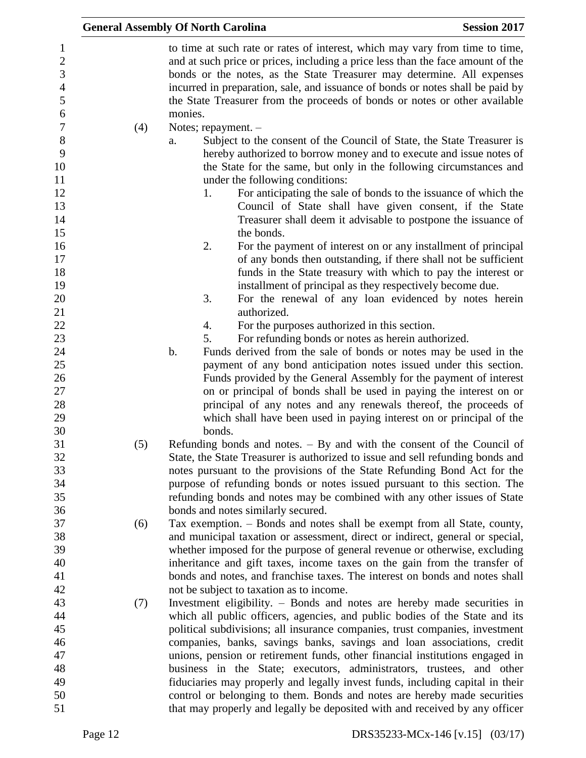|     | <b>General Assembly Of North Carolina</b>                                                                                                                                                                                                                                                                                                                                                                            | <b>Session 2017</b> |
|-----|----------------------------------------------------------------------------------------------------------------------------------------------------------------------------------------------------------------------------------------------------------------------------------------------------------------------------------------------------------------------------------------------------------------------|---------------------|
|     | to time at such rate or rates of interest, which may vary from time to time,<br>and at such price or prices, including a price less than the face amount of the<br>bonds or the notes, as the State Treasurer may determine. All expenses<br>incurred in preparation, sale, and issuance of bonds or notes shall be paid by<br>the State Treasurer from the proceeds of bonds or notes or other available<br>monies. |                     |
| (4) | Notes; repayment. -                                                                                                                                                                                                                                                                                                                                                                                                  |                     |
|     | Subject to the consent of the Council of State, the State Treasurer is<br>a.<br>hereby authorized to borrow money and to execute and issue notes of<br>the State for the same, but only in the following circumstances and<br>under the following conditions:                                                                                                                                                        |                     |
|     | For anticipating the sale of bonds to the issuance of which the<br>1.<br>Council of State shall have given consent, if the State<br>Treasurer shall deem it advisable to postpone the issuance of<br>the bonds.                                                                                                                                                                                                      |                     |
|     | 2.<br>For the payment of interest on or any installment of principal<br>of any bonds then outstanding, if there shall not be sufficient<br>funds in the State treasury with which to pay the interest or<br>installment of principal as they respectively become due.                                                                                                                                                |                     |
|     | 3.<br>For the renewal of any loan evidenced by notes herein<br>authorized.                                                                                                                                                                                                                                                                                                                                           |                     |
|     | For the purposes authorized in this section.<br>4.                                                                                                                                                                                                                                                                                                                                                                   |                     |
|     | For refunding bonds or notes as herein authorized.<br>5.                                                                                                                                                                                                                                                                                                                                                             |                     |
|     | $b$ .<br>Funds derived from the sale of bonds or notes may be used in the                                                                                                                                                                                                                                                                                                                                            |                     |
|     | payment of any bond anticipation notes issued under this section.                                                                                                                                                                                                                                                                                                                                                    |                     |
|     | Funds provided by the General Assembly for the payment of interest                                                                                                                                                                                                                                                                                                                                                   |                     |
|     | on or principal of bonds shall be used in paying the interest on or                                                                                                                                                                                                                                                                                                                                                  |                     |
|     | principal of any notes and any renewals thereof, the proceeds of                                                                                                                                                                                                                                                                                                                                                     |                     |
|     | which shall have been used in paying interest on or principal of the                                                                                                                                                                                                                                                                                                                                                 |                     |
|     | bonds.                                                                                                                                                                                                                                                                                                                                                                                                               |                     |
| (5) | Refunding bonds and notes. $-$ By and with the consent of the Council of                                                                                                                                                                                                                                                                                                                                             |                     |
|     | State, the State Treasurer is authorized to issue and sell refunding bonds and                                                                                                                                                                                                                                                                                                                                       |                     |
|     | notes pursuant to the provisions of the State Refunding Bond Act for the                                                                                                                                                                                                                                                                                                                                             |                     |
|     | purpose of refunding bonds or notes issued pursuant to this section. The                                                                                                                                                                                                                                                                                                                                             |                     |
|     | refunding bonds and notes may be combined with any other issues of State                                                                                                                                                                                                                                                                                                                                             |                     |
|     | bonds and notes similarly secured.                                                                                                                                                                                                                                                                                                                                                                                   |                     |
| (6) | Tax exemption. - Bonds and notes shall be exempt from all State, county,<br>and municipal taxation or assessment, direct or indirect, general or special,                                                                                                                                                                                                                                                            |                     |
|     | whether imposed for the purpose of general revenue or otherwise, excluding                                                                                                                                                                                                                                                                                                                                           |                     |
|     | inheritance and gift taxes, income taxes on the gain from the transfer of                                                                                                                                                                                                                                                                                                                                            |                     |
|     | bonds and notes, and franchise taxes. The interest on bonds and notes shall                                                                                                                                                                                                                                                                                                                                          |                     |
|     | not be subject to taxation as to income.                                                                                                                                                                                                                                                                                                                                                                             |                     |
| (7) | Investment eligibility. – Bonds and notes are hereby made securities in                                                                                                                                                                                                                                                                                                                                              |                     |
|     | which all public officers, agencies, and public bodies of the State and its                                                                                                                                                                                                                                                                                                                                          |                     |
|     | political subdivisions; all insurance companies, trust companies, investment                                                                                                                                                                                                                                                                                                                                         |                     |
|     | companies, banks, savings banks, savings and loan associations, credit                                                                                                                                                                                                                                                                                                                                               |                     |
|     | unions, pension or retirement funds, other financial institutions engaged in                                                                                                                                                                                                                                                                                                                                         |                     |
|     | business in the State; executors, administrators, trustees, and other                                                                                                                                                                                                                                                                                                                                                |                     |
|     | fiduciaries may properly and legally invest funds, including capital in their                                                                                                                                                                                                                                                                                                                                        |                     |
|     | control or belonging to them. Bonds and notes are hereby made securities                                                                                                                                                                                                                                                                                                                                             |                     |
|     | that may properly and legally be deposited with and received by any officer                                                                                                                                                                                                                                                                                                                                          |                     |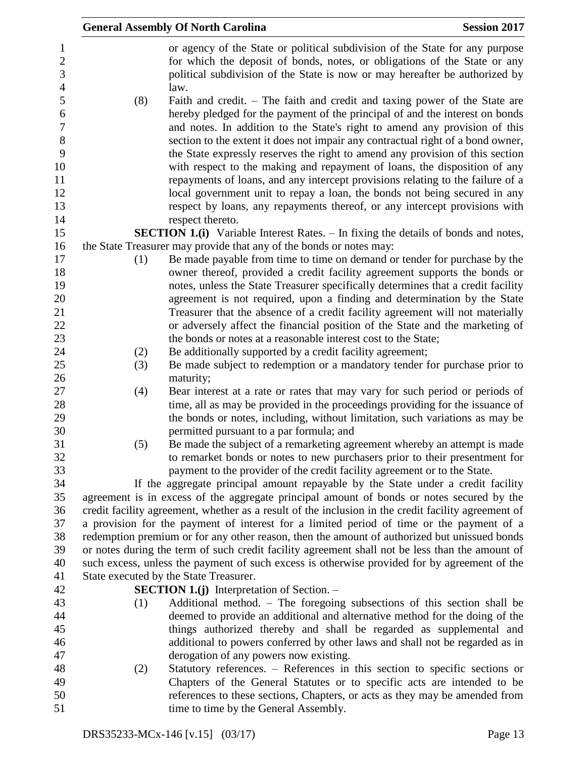|                  |     | <b>General Assembly Of North Carolina</b>                                                           | <b>Session 2017</b> |
|------------------|-----|-----------------------------------------------------------------------------------------------------|---------------------|
| $\mathbf{1}$     |     | or agency of the State or political subdivision of the State for any purpose                        |                     |
| $\sqrt{2}$       |     | for which the deposit of bonds, notes, or obligations of the State or any                           |                     |
| 3                |     | political subdivision of the State is now or may hereafter be authorized by                         |                     |
| $\overline{4}$   |     | law.                                                                                                |                     |
| 5                | (8) | Faith and credit. – The faith and credit and taxing power of the State are                          |                     |
| $\boldsymbol{6}$ |     | hereby pledged for the payment of the principal of and the interest on bonds                        |                     |
| $\boldsymbol{7}$ |     | and notes. In addition to the State's right to amend any provision of this                          |                     |
| $\, 8$           |     | section to the extent it does not impair any contractual right of a bond owner,                     |                     |
| 9                |     | the State expressly reserves the right to amend any provision of this section                       |                     |
| 10               |     | with respect to the making and repayment of loans, the disposition of any                           |                     |
| 11               |     | repayments of loans, and any intercept provisions relating to the failure of a                      |                     |
| 12               |     | local government unit to repay a loan, the bonds not being secured in any                           |                     |
| 13               |     | respect by loans, any repayments thereof, or any intercept provisions with                          |                     |
| 14               |     | respect thereto.                                                                                    |                     |
| 15               |     | <b>SECTION 1.(i)</b> Variable Interest Rates. – In fixing the details of bonds and notes,           |                     |
| 16               |     | the State Treasurer may provide that any of the bonds or notes may:                                 |                     |
| 17               | (1) | Be made payable from time to time on demand or tender for purchase by the                           |                     |
| 18               |     | owner thereof, provided a credit facility agreement supports the bonds or                           |                     |
| 19               |     | notes, unless the State Treasurer specifically determines that a credit facility                    |                     |
| 20               |     | agreement is not required, upon a finding and determination by the State                            |                     |
| 21               |     | Treasurer that the absence of a credit facility agreement will not materially                       |                     |
| 22               |     | or adversely affect the financial position of the State and the marketing of                        |                     |
| 23               |     | the bonds or notes at a reasonable interest cost to the State;                                      |                     |
| 24               | (2) | Be additionally supported by a credit facility agreement;                                           |                     |
| 25               | (3) | Be made subject to redemption or a mandatory tender for purchase prior to                           |                     |
| 26               |     | maturity;                                                                                           |                     |
| 27               | (4) | Bear interest at a rate or rates that may vary for such period or periods of                        |                     |
| 28               |     | time, all as may be provided in the proceedings providing for the issuance of                       |                     |
| 29               |     | the bonds or notes, including, without limitation, such variations as may be                        |                     |
| 30               |     | permitted pursuant to a par formula; and                                                            |                     |
| 31               | (5) | Be made the subject of a remarketing agreement whereby an attempt is made                           |                     |
| 32               |     | to remarket bonds or notes to new purchasers prior to their presentment for                         |                     |
| 33               |     | payment to the provider of the credit facility agreement or to the State.                           |                     |
| 34               |     | If the aggregate principal amount repayable by the State under a credit facility                    |                     |
| 35               |     | agreement is in excess of the aggregate principal amount of bonds or notes secured by the           |                     |
| 36               |     | credit facility agreement, whether as a result of the inclusion in the credit facility agreement of |                     |
| 37               |     | a provision for the payment of interest for a limited period of time or the payment of a            |                     |
| 38               |     | redemption premium or for any other reason, then the amount of authorized but unissued bonds        |                     |
| 39               |     | or notes during the term of such credit facility agreement shall not be less than the amount of     |                     |
| 40               |     | such excess, unless the payment of such excess is otherwise provided for by agreement of the        |                     |
| 41               |     | State executed by the State Treasurer.                                                              |                     |
| 42               |     | <b>SECTION 1.(j)</b> Interpretation of Section. $-$                                                 |                     |
| 43               | (1) | Additional method. - The foregoing subsections of this section shall be                             |                     |
| 44               |     | deemed to provide an additional and alternative method for the doing of the                         |                     |
| 45               |     | things authorized thereby and shall be regarded as supplemental and                                 |                     |
| 46               |     | additional to powers conferred by other laws and shall not be regarded as in                        |                     |
| 47               |     | derogation of any powers now existing.                                                              |                     |
| 48               | (2) | Statutory references. - References in this section to specific sections or                          |                     |
| 49               |     | Chapters of the General Statutes or to specific acts are intended to be                             |                     |
| 50               |     | references to these sections, Chapters, or acts as they may be amended from                         |                     |
| 51               |     | time to time by the General Assembly.                                                               |                     |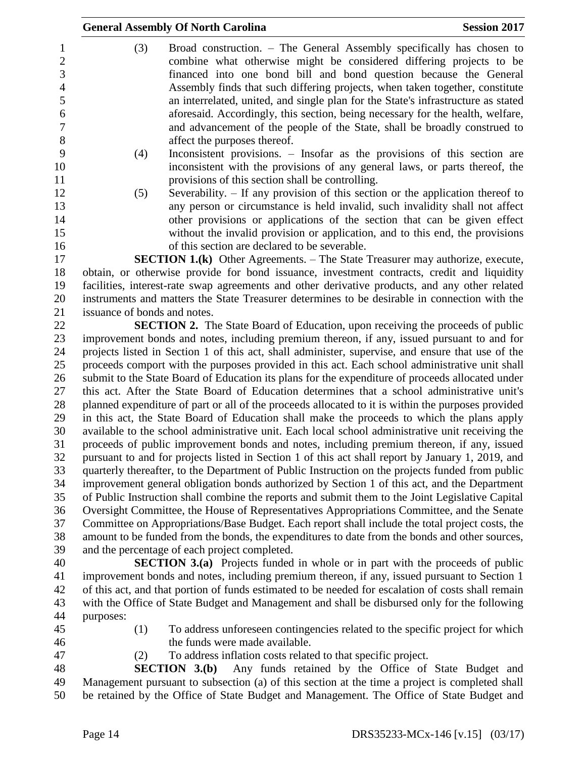|                      |                              | <b>General Assembly Of North Carolina</b>                                                                                                                                                                         | <b>Session 2017</b> |
|----------------------|------------------------------|-------------------------------------------------------------------------------------------------------------------------------------------------------------------------------------------------------------------|---------------------|
| 1<br>$\sqrt{2}$<br>3 | (3)                          | Broad construction. – The General Assembly specifically has chosen to<br>combine what otherwise might be considered differing projects to be<br>financed into one bond bill and bond question because the General |                     |
| $\overline{4}$       |                              | Assembly finds that such differing projects, when taken together, constitute                                                                                                                                      |                     |
| 5                    |                              | an interrelated, united, and single plan for the State's infrastructure as stated                                                                                                                                 |                     |
| 6                    |                              | aforesaid. Accordingly, this section, being necessary for the health, welfare,                                                                                                                                    |                     |
| $\overline{7}$       |                              | and advancement of the people of the State, shall be broadly construed to                                                                                                                                         |                     |
| $8\,$<br>9           |                              | affect the purposes thereof.                                                                                                                                                                                      |                     |
|                      | (4)                          | Inconsistent provisions. – Insofar as the provisions of this section are<br>inconsistent with the provisions of any general laws, or parts thereof, the                                                           |                     |
| 10<br>11             |                              | provisions of this section shall be controlling.                                                                                                                                                                  |                     |
| 12                   | (5)                          | Severability. $-$ If any provision of this section or the application thereof to                                                                                                                                  |                     |
| 13                   |                              | any person or circumstance is held invalid, such invalidity shall not affect                                                                                                                                      |                     |
| 14                   |                              | other provisions or applications of the section that can be given effect                                                                                                                                          |                     |
| 15                   |                              | without the invalid provision or application, and to this end, the provisions                                                                                                                                     |                     |
| 16                   |                              | of this section are declared to be severable.                                                                                                                                                                     |                     |
| 17                   |                              | <b>SECTION 1.(k)</b> Other Agreements. – The State Treasurer may authorize, execute,                                                                                                                              |                     |
| 18                   |                              | obtain, or otherwise provide for bond issuance, investment contracts, credit and liquidity                                                                                                                        |                     |
| 19                   |                              | facilities, interest-rate swap agreements and other derivative products, and any other related                                                                                                                    |                     |
| 20                   |                              | instruments and matters the State Treasurer determines to be desirable in connection with the                                                                                                                     |                     |
| 21                   | issuance of bonds and notes. |                                                                                                                                                                                                                   |                     |
| 22                   |                              | <b>SECTION 2.</b> The State Board of Education, upon receiving the proceeds of public                                                                                                                             |                     |
| 23                   |                              | improvement bonds and notes, including premium thereon, if any, issued pursuant to and for                                                                                                                        |                     |
| 24                   |                              | projects listed in Section 1 of this act, shall administer, supervise, and ensure that use of the                                                                                                                 |                     |
| 25                   |                              | proceeds comport with the purposes provided in this act. Each school administrative unit shall                                                                                                                    |                     |
| 26                   |                              | submit to the State Board of Education its plans for the expenditure of proceeds allocated under                                                                                                                  |                     |
| 27                   |                              | this act. After the State Board of Education determines that a school administrative unit's                                                                                                                       |                     |
| $28\,$               |                              | planned expenditure of part or all of the proceeds allocated to it is within the purposes provided                                                                                                                |                     |
| 29<br>30             |                              | in this act, the State Board of Education shall make the proceeds to which the plans apply                                                                                                                        |                     |
| 31                   |                              | available to the school administrative unit. Each local school administrative unit receiving the<br>proceeds of public improvement bonds and notes, including premium thereon, if any, issued                     |                     |
| 32                   |                              | pursuant to and for projects listed in Section 1 of this act shall report by January 1, 2019, and                                                                                                                 |                     |
| 33                   |                              | quarterly thereafter, to the Department of Public Instruction on the projects funded from public                                                                                                                  |                     |
| 34                   |                              | improvement general obligation bonds authorized by Section 1 of this act, and the Department                                                                                                                      |                     |
| 35                   |                              | of Public Instruction shall combine the reports and submit them to the Joint Legislative Capital                                                                                                                  |                     |
| 36                   |                              | Oversight Committee, the House of Representatives Appropriations Committee, and the Senate                                                                                                                        |                     |
| 37                   |                              | Committee on Appropriations/Base Budget. Each report shall include the total project costs, the                                                                                                                   |                     |
| 38                   |                              | amount to be funded from the bonds, the expenditures to date from the bonds and other sources,                                                                                                                    |                     |
| 39                   |                              | and the percentage of each project completed.                                                                                                                                                                     |                     |
| 40                   |                              | <b>SECTION 3.(a)</b> Projects funded in whole or in part with the proceeds of public                                                                                                                              |                     |
| 41                   |                              | improvement bonds and notes, including premium thereon, if any, issued pursuant to Section 1                                                                                                                      |                     |
| 42                   |                              | of this act, and that portion of funds estimated to be needed for escalation of costs shall remain                                                                                                                |                     |

- with the Office of State Budget and Management and shall be disbursed only for the following purposes:
- 
- (1) To address unforeseen contingencies related to the specific project for which 46 the funds were made available.
- 
- (2) To address inflation costs related to that specific project.

 **SECTION 3.(b)** Any funds retained by the Office of State Budget and Management pursuant to subsection (a) of this section at the time a project is completed shall be retained by the Office of State Budget and Management. The Office of State Budget and